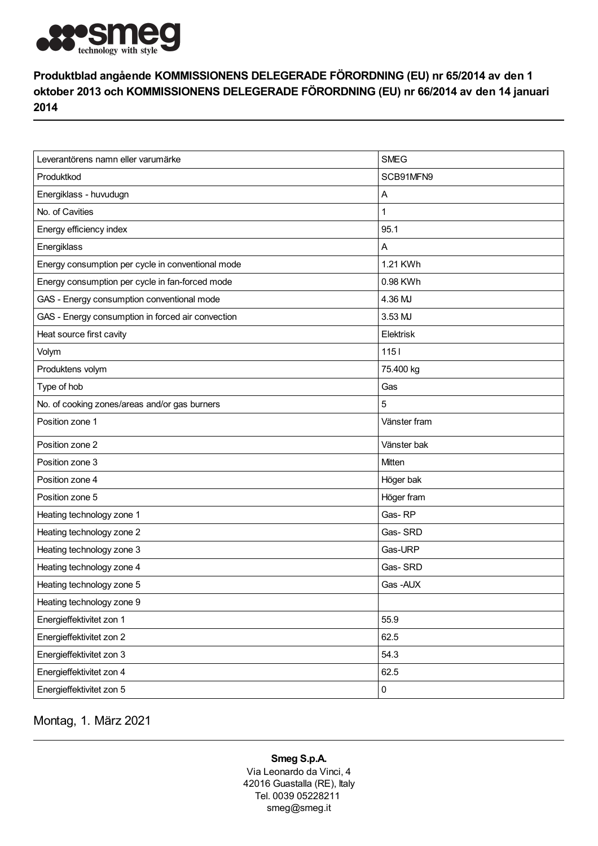

## Produktblad angående KOMMISSIONENS DELEGERADE FÖRORDNING (EU) nr 65/2014 av den 1 oktober 2013 och KOMMISSIONENS DELEGERADE FÖRORDNING (EU) nr 66/2014 av den 14 januari 2014

| Leverantörens namn eller varumärke                | <b>SMEG</b>  |
|---------------------------------------------------|--------------|
| Produktkod                                        | SCB91MFN9    |
| Energiklass - huvudugn                            | Α            |
| No. of Cavities                                   | 1            |
| Energy efficiency index                           | 95.1         |
| Energiklass                                       | Α            |
| Energy consumption per cycle in conventional mode | 1.21 KWh     |
| Energy consumption per cycle in fan-forced mode   | 0.98 KWh     |
| GAS - Energy consumption conventional mode        | 4.36 MJ      |
| GAS - Energy consumption in forced air convection | 3.53 MJ      |
| Heat source first cavity                          | Elektrisk    |
| Volym                                             | 1151         |
| Produktens volym                                  | 75.400 kg    |
| Type of hob                                       | Gas          |
| No. of cooking zones/areas and/or gas burners     | 5            |
| Position zone 1                                   | Vänster fram |
| Position zone 2                                   | Vänster bak  |
| Position zone 3                                   | Mitten       |
| Position zone 4                                   | Höger bak    |
| Position zone 5                                   | Höger fram   |
| Heating technology zone 1                         | Gas-RP       |
| Heating technology zone 2                         | Gas-SRD      |
| Heating technology zone 3                         | Gas-URP      |
| Heating technology zone 4                         | Gas-SRD      |
| Heating technology zone 5                         | Gas-AUX      |
| Heating technology zone 9                         |              |
| Energieffektivitet zon 1                          | 55.9         |
| Energieffektivitet zon 2                          | 62.5         |
| Energieffektivitet zon 3                          | 54.3         |
| Energieffektivitet zon 4                          | 62.5         |
| Energieffektivitet zon 5                          | $\pmb{0}$    |

Montag, 1. März 2021

## Smeg S.p.A.

Via Leonardo da Vinci, 4 42016 Guastalla (RE), Italy Tel. 0039 05228211 smeg@smeg.it